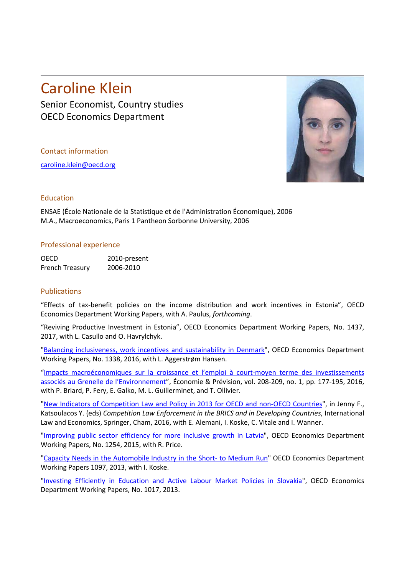## Caroline Klein

Senior Economist, Country studies OECD Economics Department

Contact information

[caroline.klein@oecd.org](mailto:caroline.klein@oecd.org)



## Education

ENSAE (École Nationale de la Statistique et de l'Administration Économique), 2006 M.A., Macroeconomics, Paris 1 Pantheon Sorbonne University, 2006

## Professional experience

OECD 2010-present French Treasury 2006-2010

## Publications

"Effects of tax-benefit policies on the income distribution and work incentives in Estonia", OECD Economics Department Working Papers, with A. Paulus, *forthcoming*.

"Reviving Productive Investment in Estonia", OECD Economics Department Working Papers, No. 1437, 2017, with L. Casullo and O. Havrylchyk.

["Balancing inclusiveness, work incentives and sustainability in Denmark"](http://www.oecd-ilibrary.org/economics/balancing-inclusiveness-work-incentives-and-sustainability-in-denmark_5jln042kcjjg-en), OECD Economics Department Working Papers, No. 1338, 2016, with L. Aggerstrøm Hansen.

["Impacts macroéconomiques sur la croissance et l'emploi à court-moyen terme des investissements](https://www.cairn.info/revue-economie-et-prevision-2016-1-page-177.htm)  [associés au Grenelle de l'Environnement"](https://www.cairn.info/revue-economie-et-prevision-2016-1-page-177.htm), Économie & Prévision, vol. 208-209, no. 1, pp. 177-195, 2016, with P. Briard, P. Fery, E. Galko, M. L. Guillerminet, and T. Ollivier.

["New Indicators of Competition Law and Policy in 2013 for OECD and non-OECD Countries"](https://doi.org/10.1007/978-3-319-30948-4_2), in Jenny F., Katsoulacos Y. (eds) *Competition Law Enforcement in the BRICS and in Developing Countries*, International Law and Economics, Springer, Cham, 2016, with E. Alemani, I. Koske, C. Vitale and I. Wanner.

["Improving public sector efficiency for more inclusive growth in Latvia"](http://www.oecd-ilibrary.org/economics/improving-public-sector-efficiency-for-more-inclusive-growth-in-latvia_5jrw57p59bxx-en), OECD Economics Department Working Papers, No. 1254, 2015, with R. Price.

["Capacity Needs in the Automobile Industry in the Short-](http://www.oecd.org/officialdocuments/publicdisplaydocumentpdf/?cote=ECO/WKP(2013)89&docLanguage=En) to Medium Run" OECD Economics Department Working Papers 1097, 2013, with I. Koske.

["Investing Efficiently in Education and Active Labour Market Policies in Slovakia"](http://dx.doi.org/10.1787/5k4c9kvmv3g4-en), OECD Economics Department Working Papers, No. 1017, 2013.